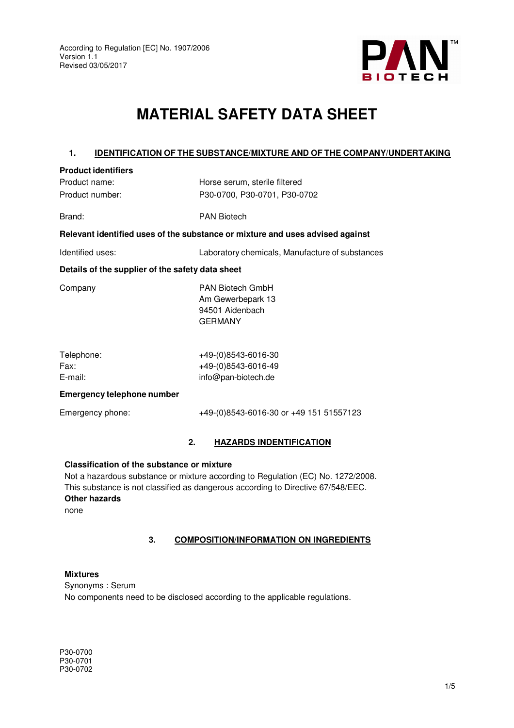

# **MATERIAL SAFETY DATA SHEET**

### **1. IDENTIFICATION OF THE SUBSTANCE/MIXTURE AND OF THE COMPANY/UNDERTAKING**

| <b>Product identifiers</b>                       |                                                                               |  |  |
|--------------------------------------------------|-------------------------------------------------------------------------------|--|--|
| Product name:                                    | Horse serum, sterile filtered                                                 |  |  |
| Product number:                                  | P30-0700, P30-0701, P30-0702                                                  |  |  |
| Brand:                                           | <b>PAN Biotech</b>                                                            |  |  |
|                                                  | Relevant identified uses of the substance or mixture and uses advised against |  |  |
| Identified uses:                                 | Laboratory chemicals, Manufacture of substances                               |  |  |
| Details of the supplier of the safety data sheet |                                                                               |  |  |
| Company                                          | <b>PAN Biotech GmbH</b>                                                       |  |  |
|                                                  | Am Gewerbepark 13                                                             |  |  |
|                                                  | 94501 Aidenbach                                                               |  |  |

| Telephone: | +49-(0)8543-6016-30 |
|------------|---------------------|
| Fax:       | +49-(0)8543-6016-49 |
| E-mail:    | info@pan-biotech.de |

## **Emergency telephone number**

Emergency phone: +49-(0)8543-6016-30 or +49 151 51557123

## **2. HAZARDS INDENTIFICATION**

#### **Classification of the substance or mixture**

Not a hazardous substance or mixture according to Regulation (EC) No. 1272/2008. This substance is not classified as dangerous according to Directive 67/548/EEC. **Other hazards**  none

GERMANY

#### **3. COMPOSITION/INFORMATION ON INGREDIENTS**

#### **Mixtures**

Synonyms : Serum No components need to be disclosed according to the applicable regulations.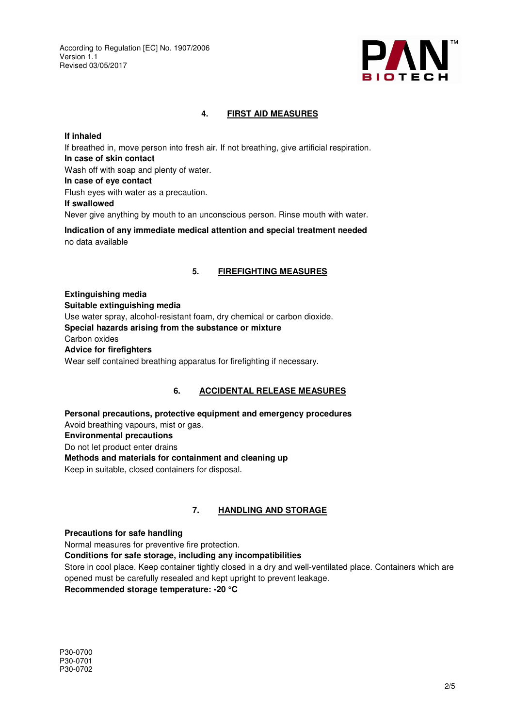According to Regulation [EC] No. 1907/2006 Version 1.1 Revised 03/05/2017



## **4. FIRST AID MEASURES**

#### **If inhaled**

If breathed in, move person into fresh air. If not breathing, give artificial respiration. **In case of skin contact**  Wash off with soap and plenty of water. **In case of eye contact**  Flush eyes with water as a precaution. **If swallowed**  Never give anything by mouth to an unconscious person. Rinse mouth with water.

**Indication of any immediate medical attention and special treatment needed**  no data available

#### **5. FIREFIGHTING MEASURES**

**Extinguishing media Suitable extinguishing media**  Use water spray, alcohol-resistant foam, dry chemical or carbon dioxide. **Special hazards arising from the substance or mixture**  Carbon oxides **Advice for firefighters**  Wear self contained breathing apparatus for firefighting if necessary.

## **6. ACCIDENTAL RELEASE MEASURES**

**Personal precautions, protective equipment and emergency procedures**  Avoid breathing vapours, mist or gas. **Environmental precautions**  Do not let product enter drains **Methods and materials for containment and cleaning up**  Keep in suitable, closed containers for disposal.

## **7. HANDLING AND STORAGE**

#### **Precautions for safe handling**

Normal measures for preventive fire protection.

**Conditions for safe storage, including any incompatibilities** 

Store in cool place. Keep container tightly closed in a dry and well-ventilated place. Containers which are opened must be carefully resealed and kept upright to prevent leakage.

**Recommended storage temperature: -20 °C**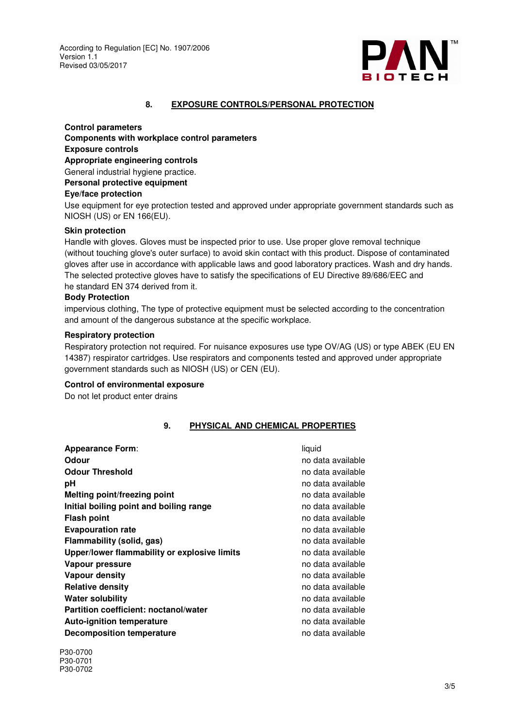

### **8. EXPOSURE CONTROLS/PERSONAL PROTECTION**

**Control parameters Components with workplace control parameters Exposure controls Appropriate engineering controls**  General industrial hygiene practice. **Personal protective equipment** 

## **Eye/face protection**

Use equipment for eye protection tested and approved under appropriate government standards such as NIOSH (US) or EN 166(EU).

#### **Skin protection**

Handle with gloves. Gloves must be inspected prior to use. Use proper glove removal technique (without touching glove's outer surface) to avoid skin contact with this product. Dispose of contaminated gloves after use in accordance with applicable laws and good laboratory practices. Wash and dry hands. The selected protective gloves have to satisfy the specifications of EU Directive 89/686/EEC and he standard EN 374 derived from it.

#### **Body Protection**

impervious clothing, The type of protective equipment must be selected according to the concentration and amount of the dangerous substance at the specific workplace.

#### **Respiratory protection**

Respiratory protection not required. For nuisance exposures use type OV/AG (US) or type ABEK (EU EN 14387) respirator cartridges. Use respirators and components tested and approved under appropriate government standards such as NIOSH (US) or CEN (EU).

#### **Control of environmental exposure**

Do not let product enter drains

## **9. PHYSICAL AND CHEMICAL PROPERTIES**

| <b>Appearance Form:</b>                      | liquid            |
|----------------------------------------------|-------------------|
| Odour                                        | no data available |
| <b>Odour Threshold</b>                       | no data available |
| рH                                           | no data available |
| Melting point/freezing point                 | no data available |
| Initial boiling point and boiling range      | no data available |
| <b>Flash point</b>                           | no data available |
| <b>Evapouration rate</b>                     | no data available |
| Flammability (solid, gas)                    | no data available |
| Upper/lower flammability or explosive limits | no data available |
| Vapour pressure                              | no data available |
| Vapour density                               | no data available |
| <b>Relative density</b>                      | no data available |
| Water solubility                             | no data available |
| Partition coefficient: noctanol/water        | no data available |
| <b>Auto-ignition temperature</b>             | no data available |
| <b>Decomposition temperature</b>             | no data available |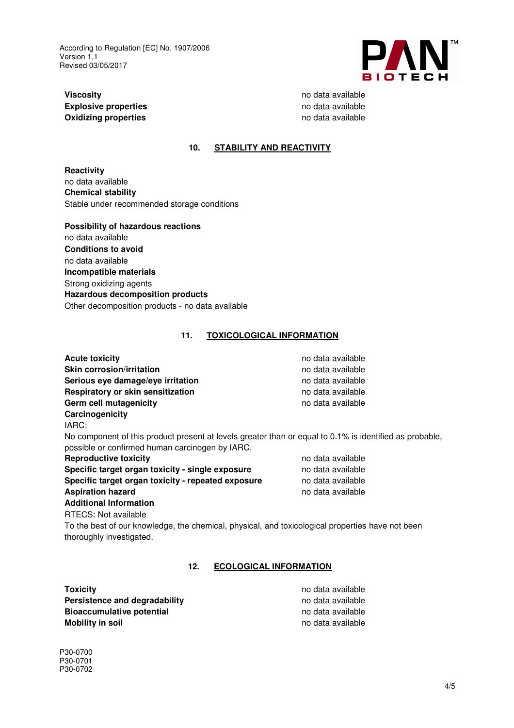According to Regulation [EC] No. 1907/2006 Version 1.1 Revised 03/05/2017



# **Viscosity no data available no data available no data available no data available Explosive properties no data available** no data available **Oxidizing properties no data available** no data available

## **10. STABILITY AND REACTIVITY**

**Reactivity**  no data available **Chemical stability**  Stable under recommended storage conditions

**Possibility of hazardous reactions**  no data available **Conditions to avoid**  no data available **Incompatible materials**  Strong oxidizing agents **Hazardous decomposition products**  Other decomposition products - no data available

### **11. TOXICOLOGICAL INFORMATION**

| <b>Acute toxicity</b>             | no data available |
|-----------------------------------|-------------------|
| <b>Skin corrosion/irritation</b>  | no data available |
| Serious eye damage/eye irritation | no data available |
| Respiratory or skin sensitization | no data available |
| Germ cell mutagenicity            | no data available |
| Carcinogenicity                   |                   |
| IARC:                             |                   |

No component of this product present at levels greater than or equal to 0.1% is identified as probable, possible or confirmed human carcinogen by IARC.

| <b>Reproductive toxicity</b>                       | no data available |
|----------------------------------------------------|-------------------|
| Specific target organ toxicity - single exposure   | no data available |
| Specific target organ toxicity - repeated exposure | no data available |
| <b>Aspiration hazard</b>                           | no data available |
| <b>Additional Information</b>                      |                   |

RTECS: Not available

To the best of our knowledge, the chemical, physical, and toxicological properties have not been thoroughly investigated.

## **12. ECOLOGICAL INFORMATION**

**Toxicity no data available no data available no data available Persistence and degradability no data available no data available Bioaccumulative potential and discussion of the set of the set of the set of the set of the set of the set of the set of the set of the set of the set of the set of the set of the set of the set of the set of the set of t Mobility in soil no data available**